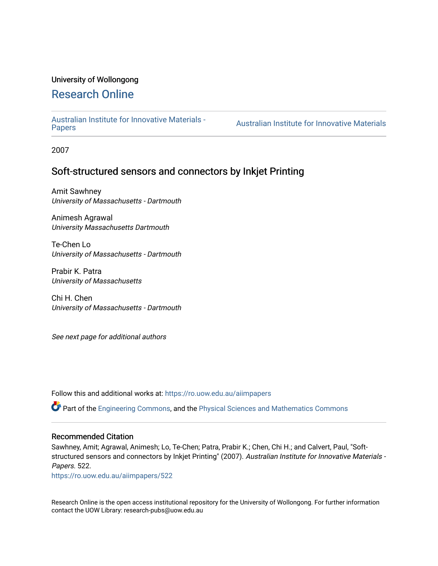## University of Wollongong

# [Research Online](https://ro.uow.edu.au/)

[Australian Institute for Innovative Materials -](https://ro.uow.edu.au/aiimpapers)

Australian Institute for Innovative Materials

2007

# Soft-structured sensors and connectors by Inkjet Printing

Amit Sawhney University of Massachusetts - Dartmouth

Animesh Agrawal University Massachusetts Dartmouth

Te-Chen Lo University of Massachusetts - Dartmouth

Prabir K. Patra University of Massachusetts

Chi H. Chen University of Massachusetts - Dartmouth

See next page for additional authors

Follow this and additional works at: [https://ro.uow.edu.au/aiimpapers](https://ro.uow.edu.au/aiimpapers?utm_source=ro.uow.edu.au%2Faiimpapers%2F522&utm_medium=PDF&utm_campaign=PDFCoverPages)

Part of the [Engineering Commons](http://network.bepress.com/hgg/discipline/217?utm_source=ro.uow.edu.au%2Faiimpapers%2F522&utm_medium=PDF&utm_campaign=PDFCoverPages), and the [Physical Sciences and Mathematics Commons](http://network.bepress.com/hgg/discipline/114?utm_source=ro.uow.edu.au%2Faiimpapers%2F522&utm_medium=PDF&utm_campaign=PDFCoverPages) 

#### Recommended Citation

Sawhney, Amit; Agrawal, Animesh; Lo, Te-Chen; Patra, Prabir K.; Chen, Chi H.; and Calvert, Paul, "Softstructured sensors and connectors by Inkjet Printing" (2007). Australian Institute for Innovative Materials -Papers. 522.

[https://ro.uow.edu.au/aiimpapers/522](https://ro.uow.edu.au/aiimpapers/522?utm_source=ro.uow.edu.au%2Faiimpapers%2F522&utm_medium=PDF&utm_campaign=PDFCoverPages)

Research Online is the open access institutional repository for the University of Wollongong. For further information contact the UOW Library: research-pubs@uow.edu.au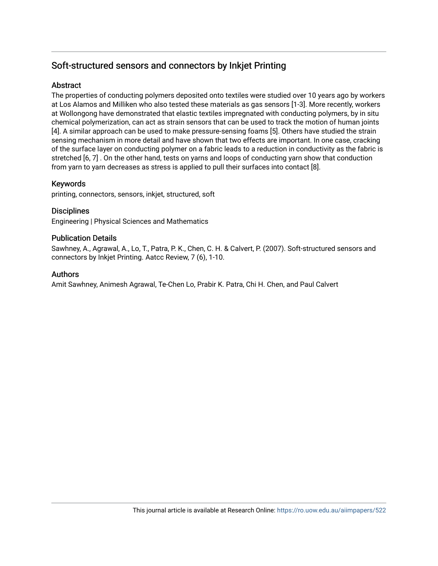# Soft-structured sensors and connectors by Inkjet Printing

# **Abstract**

The properties of conducting polymers deposited onto textiles were studied over 10 years ago by workers at Los Alamos and Milliken who also tested these materials as gas sensors [1-3]. More recently, workers at Wollongong have demonstrated that elastic textiles impregnated with conducting polymers, by in situ chemical polymerization, can act as strain sensors that can be used to track the motion of human joints [4]. A similar approach can be used to make pressure-sensing foams [5]. Others have studied the strain sensing mechanism in more detail and have shown that two effects are important. In one case, cracking of the surface layer on conducting polymer on a fabric leads to a reduction in conductivity as the fabric is stretched [6, 7] . On the other hand, tests on yarns and loops of conducting yarn show that conduction from yarn to yarn decreases as stress is applied to pull their surfaces into contact [8].

# Keywords

printing, connectors, sensors, inkjet, structured, soft

# **Disciplines**

Engineering | Physical Sciences and Mathematics

## Publication Details

Sawhney, A., Agrawal, A., Lo, T., Patra, P. K., Chen, C. H. & Calvert, P. (2007). Soft-structured sensors and connectors by Inkjet Printing. Aatcc Review, 7 (6), 1-10.

## Authors

Amit Sawhney, Animesh Agrawal, Te-Chen Lo, Prabir K. Patra, Chi H. Chen, and Paul Calvert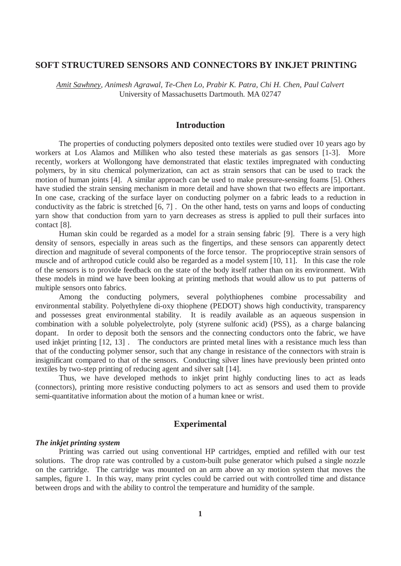# **SOFT STRUCTURED SENSORS AND CONNECTORS BY INKJET PRINTING**

*Amit Sawhney, Animesh Agrawal, Te-Chen Lo, Prabir K. Patra, Chi H. Chen, Paul Calvert*  University of Massachusetts Dartmouth. MA 02747

# **Introduction**

The properties of conducting polymers deposited onto textiles were studied over 10 years ago by workers at Los Alamos and Milliken who also tested these materials as gas sensors [1-3]. More recently, workers at Wollongong have demonstrated that elastic textiles impregnated with conducting polymers, by in situ chemical polymerization, can act as strain sensors that can be used to track the motion of human joints [4]. A similar approach can be used to make pressure-sensing foams [5]. Others have studied the strain sensing mechanism in more detail and have shown that two effects are important. In one case, cracking of the surface layer on conducting polymer on a fabric leads to a reduction in conductivity as the fabric is stretched [6, 7] . On the other hand, tests on yarns and loops of conducting yarn show that conduction from yarn to yarn decreases as stress is applied to pull their surfaces into contact [8].

 Human skin could be regarded as a model for a strain sensing fabric [9]. There is a very high density of sensors, especially in areas such as the fingertips, and these sensors can apparently detect direction and magnitude of several components of the force tensor. The proprioceptive strain sensors of muscle and of arthropod cuticle could also be regarded as a model system [10, 11]. In this case the role of the sensors is to provide feedback on the state of the body itself rather than on its environment. With these models in mind we have been looking at printing methods that would allow us to put patterns of multiple sensors onto fabrics.

Among the conducting polymers, several polythiophenes combine processability and environmental stability. Polyethylene di-oxy thiophene (PEDOT) shows high conductivity, transparency and possesses great environmental stability. It is readily available as an aqueous suspension in combination with a soluble polyelectrolyte, poly (styrene sulfonic acid) (PSS), as a charge balancing dopant. In order to deposit both the sensors and the connecting conductors onto the fabric, we have used inkjet printing [12, 13]. The conductors are printed metal lines with a resistance much less than that of the conducting polymer sensor, such that any change in resistance of the connectors with strain is insignificant compared to that of the sensors. Conducting silver lines have previously been printed onto textiles by two-step printing of reducing agent and silver salt [14].

Thus, we have developed methods to inkjet print highly conducting lines to act as leads (connectors), printing more resistive conducting polymers to act as sensors and used them to provide semi-quantitative information about the motion of a human knee or wrist.

## **Experimental**

#### *The inkjet printing system*

 Printing was carried out using conventional HP cartridges, emptied and refilled with our test solutions. The drop rate was controlled by a custom-built pulse generator which pulsed a single nozzle on the cartridge. The cartridge was mounted on an arm above an xy motion system that moves the samples, figure 1. In this way, many print cycles could be carried out with controlled time and distance between drops and with the ability to control the temperature and humidity of the sample.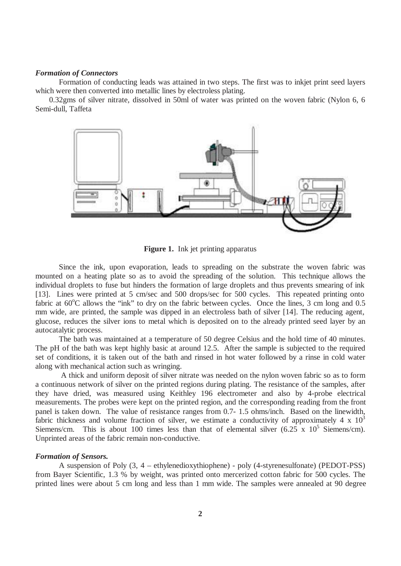## *Formation of Connectors*

 Formation of conducting leads was attained in two steps. The first was to inkjet print seed layers which were then converted into metallic lines by electroless plating.

 0.32gms of silver nitrate, dissolved in 50ml of water was printed on the woven fabric (Nylon 6, 6 Semi-dull, Taffeta



**Figure 1.** Ink jet printing apparatus

Since the ink, upon evaporation, leads to spreading on the substrate the woven fabric was mounted on a heating plate so as to avoid the spreading of the solution. This technique allows the individual droplets to fuse but hinders the formation of large droplets and thus prevents smearing of ink [13]. Lines were printed at 5 cm/sec and 500 drops/sec for 500 cycles. This repeated printing onto fabric at 60°C allows the "ink" to dry on the fabric between cycles. Once the lines, 3 cm long and 0.5 mm wide, are printed, the sample was dipped in an electroless bath of silver [14]. The reducing agent, glucose, reduces the silver ions to metal which is deposited on to the already printed seed layer by an autocatalytic process.

The bath was maintained at a temperature of 50 degree Celsius and the hold time of 40 minutes. The pH of the bath was kept highly basic at around 12.5. After the sample is subjected to the required set of conditions, it is taken out of the bath and rinsed in hot water followed by a rinse in cold water along with mechanical action such as wringing.

 A thick and uniform deposit of silver nitrate was needed on the nylon woven fabric so as to form a continuous network of silver on the printed regions during plating. The resistance of the samples, after they have dried, was measured using Keithley 196 electrometer and also by 4-probe electrical measurements. The probes were kept on the printed region, and the corresponding reading from the front panel is taken down. The value of resistance ranges from 0.7- 1.5 ohms/inch. Based on the linewidth, fabric thickness and volume fraction of silver, we estimate a conductivity of approximately 4 x  $10<sup>3</sup>$ Siemens/cm. This is about 100 times less than that of elemental silver  $(6.25 \times 10^5 \text{ Siemens/cm})$ . Unprinted areas of the fabric remain non-conductive.

### *Formation of Sensors.*

A suspension of Poly (3, 4 – ethylenedioxythiophene) - poly (4-styrenesulfonate) (PEDOT-PSS) from Bayer Scientific, 1.3 % by weight, was printed onto mercerized cotton fabric for 500 cycles. The printed lines were about 5 cm long and less than 1 mm wide. The samples were annealed at 90 degree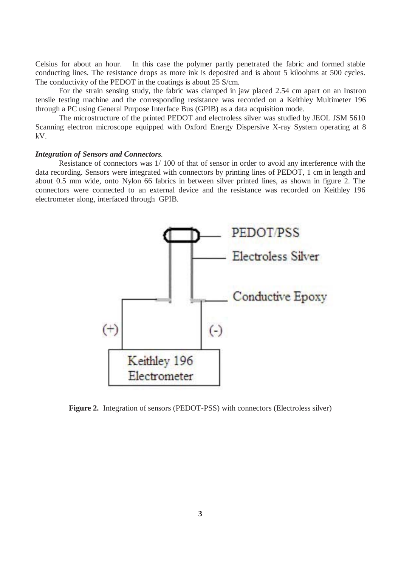Celsius for about an hour. In this case the polymer partly penetrated the fabric and formed stable conducting lines. The resistance drops as more ink is deposited and is about 5 kiloohms at 500 cycles. The conductivity of the PEDOT in the coatings is about 25 S/cm.

For the strain sensing study, the fabric was clamped in jaw placed 2.54 cm apart on an Instron tensile testing machine and the corresponding resistance was recorded on a Keithley Multimeter 196 through a PC using General Purpose Interface Bus (GPIB) as a data acquisition mode.

The microstructure of the printed PEDOT and electroless silver was studied by JEOL JSM 5610 Scanning electron microscope equipped with Oxford Energy Dispersive X-ray System operating at 8 kV.

### *Integration of Sensors and Connectors.*

Resistance of connectors was 1/ 100 of that of sensor in order to avoid any interference with the data recording. Sensors were integrated with connectors by printing lines of PEDOT, 1 cm in length and about 0.5 mm wide, onto Nylon 66 fabrics in between silver printed lines, as shown in figure 2. The connectors were connected to an external device and the resistance was recorded on Keithley 196 electrometer along, interfaced through GPIB.



**Figure 2.** Integration of sensors (PEDOT-PSS) with connectors (Electroless silver)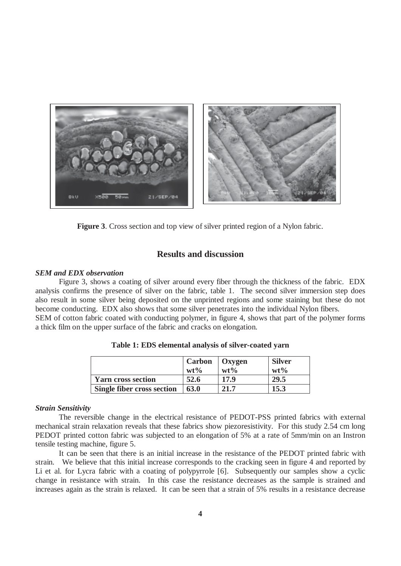

**Figure 3**. Cross section and top view of silver printed region of a Nylon fabric.

# **Results and discussion**

### *SEM and EDX observation*

Figure 3, shows a coating of silver around every fiber through the thickness of the fabric. EDX analysis confirms the presence of silver on the fabric, table 1. The second silver immersion step does also result in some silver being deposited on the unprinted regions and some staining but these do not become conducting. EDX also shows that some silver penetrates into the individual Nylon fibers. SEM of cotton fabric coated with conducting polymer, in figure 4, shows that part of the polymer forms a thick film on the upper surface of the fabric and cracks on elongation.

|                                   | Carbon   Oxygen |        | <b>Silver</b> |
|-----------------------------------|-----------------|--------|---------------|
|                                   | $wt\%$          | $wt\%$ | $wt\%$        |
| Yarn cross section                | 52.6            | 17.9   | 29.5          |
| <b>Single fiber cross section</b> | 63.0            | 21.7   | 15.3          |

**Table 1: EDS elemental analysis of silver-coated yarn** 

### *Strain Sensitivity*

The reversible change in the electrical resistance of PEDOT-PSS printed fabrics with external mechanical strain relaxation reveals that these fabrics show piezoresistivity. For this study 2.54 cm long PEDOT printed cotton fabric was subjected to an elongation of 5% at a rate of 5mm/min on an Instron tensile testing machine, figure 5.

 It can be seen that there is an initial increase in the resistance of the PEDOT printed fabric with strain. We believe that this initial increase corresponds to the cracking seen in figure 4 and reported by Li et al. for Lycra fabric with a coating of polypyrrole [6]. Subsequently our samples show a cyclic change in resistance with strain. In this case the resistance decreases as the sample is strained and increases again as the strain is relaxed. It can be seen that a strain of 5% results in a resistance decrease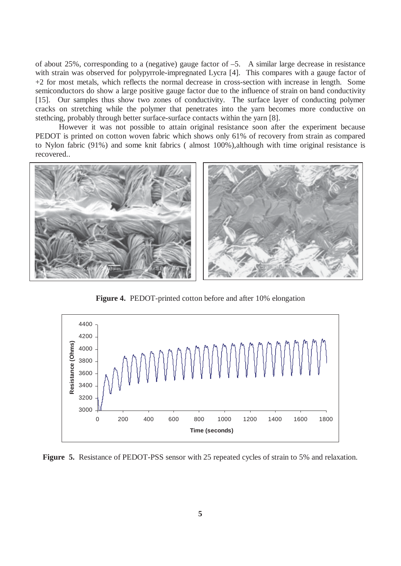of about 25%, corresponding to a (negative) gauge factor of –5. A similar large decrease in resistance with strain was observed for polypyrrole-impregnated Lycra [4]. This compares with a gauge factor of +2 for most metals, which reflects the normal decrease in cross-section with increase in length. Some semiconductors do show a large positive gauge factor due to the influence of strain on band conductivity [15]. Our samples thus show two zones of conductivity. The surface layer of conducting polymer cracks on stretching while the polymer that penetrates into the yarn becomes more conductive on stethcing, probably through better surface-surface contacts within the yarn [8].

However it was not possible to attain original resistance soon after the experiment because PEDOT is printed on cotton woven fabric which shows only 61% of recovery from strain as compared to Nylon fabric (91%) and some knit fabrics ( almost 100%),although with time original resistance is recovered..



**Figure 4.** PEDOT-printed cotton before and after 10% elongation



**Figure 5.** Resistance of PEDOT-PSS sensor with 25 repeated cycles of strain to 5% and relaxation.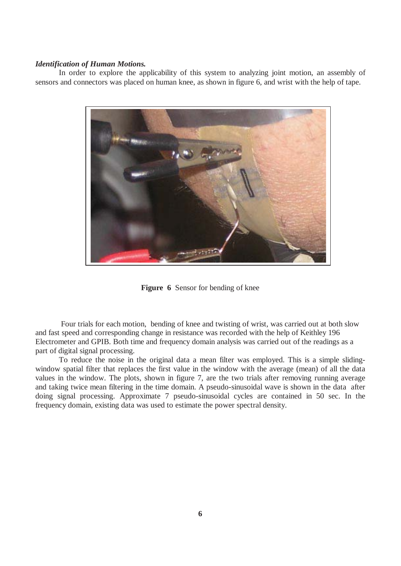### *Identification of Human Motions.*

In order to explore the applicability of this system to analyzing joint motion, an assembly of sensors and connectors was placed on human knee, as shown in figure 6, and wrist with the help of tape.



**Figure 6** Sensor for bending of knee

 Four trials for each motion, bending of knee and twisting of wrist, was carried out at both slow and fast speed and corresponding change in resistance was recorded with the help of Keithley 196 Electrometer and GPIB. Both time and frequency domain analysis was carried out of the readings as a part of digital signal processing.

To reduce the noise in the original data a mean filter was employed. This is a simple slidingwindow spatial filter that replaces the first value in the window with the average (mean) of all the data values in the window. The plots, shown in figure 7, are the two trials after removing running average and taking twice mean filtering in the time domain. A pseudo-sinusoidal wave is shown in the data after doing signal processing. Approximate 7 pseudo-sinusoidal cycles are contained in 50 sec. In the frequency domain, existing data was used to estimate the power spectral density.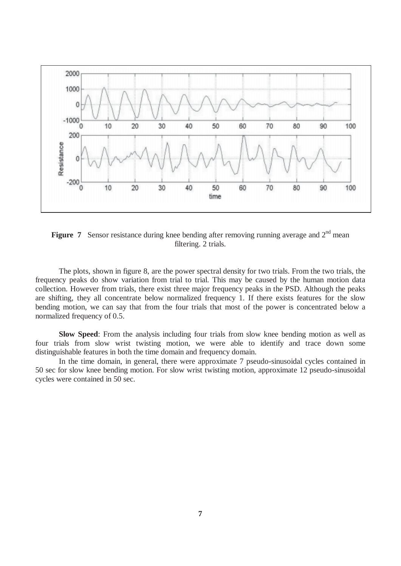

**Figure 7** Sensor resistance during knee bending after removing running average and 2<sup>nd</sup> mean filtering. 2 trials.

The plots, shown in figure 8, are the power spectral density for two trials. From the two trials, the frequency peaks do show variation from trial to trial. This may be caused by the human motion data collection. However from trials, there exist three major frequency peaks in the PSD. Although the peaks are shifting, they all concentrate below normalized frequency 1. If there exists features for the slow bending motion, we can say that from the four trials that most of the power is concentrated below a normalized frequency of 0.5.

**Slow Speed**: From the analysis including four trials from slow knee bending motion as well as four trials from slow wrist twisting motion, we were able to identify and trace down some distinguishable features in both the time domain and frequency domain.

In the time domain, in general, there were approximate 7 pseudo-sinusoidal cycles contained in 50 sec for slow knee bending motion. For slow wrist twisting motion, approximate 12 pseudo-sinusoidal cycles were contained in 50 sec.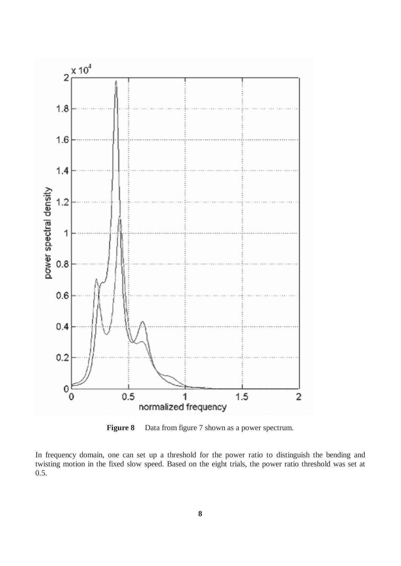

**Figure 8** Data from figure 7 shown as a power spectrum.

In frequency domain, one can set up a threshold for the power ratio to distinguish the bending and twisting motion in the fixed slow speed. Based on the eight trials, the power ratio threshold was set at 0.5.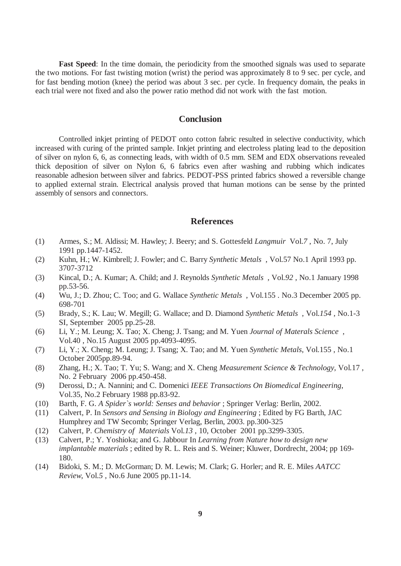**Fast Speed**: In the time domain, the periodicity from the smoothed signals was used to separate the two motions. For fast twisting motion (wrist) the period was approximately 8 to 9 sec. per cycle, and for fast bending motion (knee) the period was about 3 sec. per cycle. In frequency domain, the peaks in each trial were not fixed and also the power ratio method did not work with the fast motion.

## **Conclusion**

Controlled inkjet printing of PEDOT onto cotton fabric resulted in selective conductivity, which increased with curing of the printed sample. Inkjet printing and electroless plating lead to the deposition of silver on nylon 6, 6, as connecting leads, with width of 0.5 mm. SEM and EDX observations revealed thick deposition of silver on Nylon 6, 6 fabrics even after washing and rubbing which indicates reasonable adhesion between silver and fabrics. PEDOT-PSS printed fabrics showed a reversible change to applied external strain. Electrical analysis proved that human motions can be sense by the printed assembly of sensors and connectors.

## **References**

- (1) Armes, S.; M. Aldissi; M. Hawley; J. Beery; and S. Gottesfeld *Langmuir* Vol.*7* , No. 7, July 1991 pp.1447-1452.
- (2) Kuhn, H.; W. Kimbrell; J. Fowler; and C. Barry *Synthetic Metals* , Vol.57 No.1 April 1993 pp. 3707-3712
- (3) Kincal, D.; A. Kumar; A. Child; and J. Reynolds *Synthetic Metals* , Vol.*92* , No.1 January 1998 pp.53-56.
- (4) Wu, J.; D. Zhou; C. Too; and G. Wallace *Synthetic Metals* , Vol.155 . No.3 December 2005 pp. 698-701
- (5) Brady, S.; K. Lau; W. Megill; G. Wallace; and D. Diamond *Synthetic Metals* , Vol.*154* , No.1-3 SI, September 2005 pp.25-28.
- (6) Li, Y.; M. Leung; X. Tao; X. Cheng; J. Tsang; and M. Yuen *Journal of Materals Science* , Vol.40 , No.15 August 2005 pp.4093-4095.
- (7) Li, Y.; X. Cheng; M. Leung; J. Tsang; X. Tao; and M. Yuen *Synthetic Metals*, Vol.155 , No.1 October 2005pp.89-94.
- (8) Zhang, H.; X. Tao; T. Yu; S. Wang; and X. Cheng *Measurement Science & Technology*, Vol.17 , No. 2 February 2006 pp.450-458.
- (9) Derossi, D.; A. Nannini; and C. Domenici *IEEE Transactions On Biomedical Engineering*, Vol.35, No.2 February 1988 pp.83-92.
- (10) Barth, F. G. *A Spider`s world: Senses and behavior* ; Springer Verlag: Berlin, 2002.
- (11) Calvert, P. In *Sensors and Sensing in Biology and Engineering* ; Edited by FG Barth, JAC Humphrey and TW Secomb; Springer Verlag, Berlin, 2003. pp.300-325
- (12) Calvert, P. *Chemistry of Materials* Vol.*13* , 10, October 2001 pp.3299-3305.
- (13) Calvert, P.; Y. Yoshioka; and G. Jabbour In *Learning from Nature how to design new implantable materials* ; edited by R. L. Reis and S. Weiner; Kluwer, Dordrecht, 2004; pp 169- 180.
- (14) Bidoki, S. M.; D. McGorman; D. M. Lewis; M. Clark; G. Horler; and R. E. Miles *AATCC Review*, Vol.*5* , No.6 June 2005 pp.11-14.